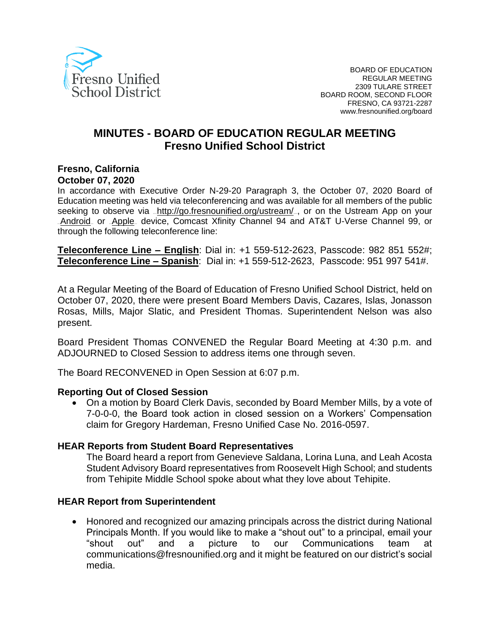

# **MINUTES - BOARD OF EDUCATION REGULAR MEETING Fresno Unified School District**

#### **Fresno, California October 07, 2020**

In accordance with Executive Order N-29-20 Paragraph 3, the October 07, 2020 Board of Education meeting was held via teleconferencing and was available for all members of the public seeking to observe via <http://go.fresnounified.org/ustream/> por on the Ustream App on your [Android](https://play.google.com/store/apps/details?id=tv.ustream.ustream&hl=en_US), or [Apple](https://itunes.apple.com/us/app/ustream/id301520250?mt=8), device, Comcast Xfinity Channel 94 and AT&T U-Verse Channel 99, or through the following teleconference line:

**Teleconference Line – English**: Dial in: +1 559-512-2623, Passcode: 982 851 552#; **Teleconference Line – Spanish**: Dial in: +1 559-512-2623, Passcode: 951 997 541#.

At a Regular Meeting of the Board of Education of Fresno Unified School District, held on October 07, 2020, there were present Board Members Davis, Cazares, Islas, Jonasson Rosas, Mills, Major Slatic, and President Thomas. Superintendent Nelson was also present.

Board President Thomas CONVENED the Regular Board Meeting at 4:30 p.m. and ADJOURNED to Closed Session to address items one through seven.

The Board RECONVENED in Open Session at 6:07 p.m.

### **Reporting Out of Closed Session**

• On a motion by Board Clerk Davis, seconded by Board Member Mills, by a vote of 7-0-0-0, the Board took action in closed session on a Workers' Compensation claim for Gregory Hardeman, Fresno Unified Case No. 2016-0597.

### **HEAR Reports from Student Board Representatives**

The Board heard a report from Genevieve Saldana, Lorina Luna, and Leah Acosta Student Advisory Board representatives from Roosevelt High School; and students from Tehipite Middle School spoke about what they love about Tehipite.

### **HEAR Report from Superintendent**

• Honored and recognized our amazing principals across the district during National Principals Month. If you would like to make a "shout out" to a principal, email your "shout out" and a picture to our Communications team at communications@fresnounified.org and it might be featured on our district's social media.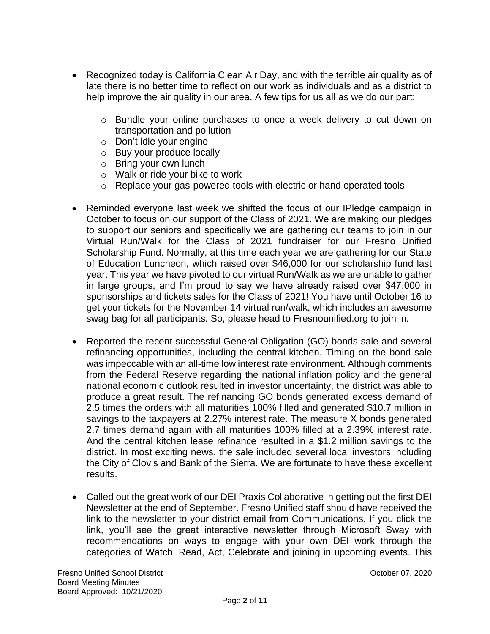- Recognized today is California Clean Air Day, and with the terrible air quality as of late there is no better time to reflect on our work as individuals and as a district to help improve the air quality in our area. A few tips for us all as we do our part:
	- o Bundle your online purchases to once a week delivery to cut down on transportation and pollution
	- o Don't idle your engine
	- o Buy your produce locally
	- o Bring your own lunch
	- o Walk or ride your bike to work
	- o Replace your gas-powered tools with electric or hand operated tools
- Reminded everyone last week we shifted the focus of our IPledge campaign in October to focus on our support of the Class of 2021. We are making our pledges to support our seniors and specifically we are gathering our teams to join in our Virtual Run/Walk for the Class of 2021 fundraiser for our Fresno Unified Scholarship Fund. Normally, at this time each year we are gathering for our State of Education Luncheon, which raised over \$46,000 for our scholarship fund last year. This year we have pivoted to our virtual Run/Walk as we are unable to gather in large groups, and I'm proud to say we have already raised over \$47,000 in sponsorships and tickets sales for the Class of 2021! You have until October 16 to get your tickets for the November 14 virtual run/walk, which includes an awesome swag bag for all participants. So, please head to Fresnounified.org to join in.
- Reported the recent successful General Obligation (GO) bonds sale and several refinancing opportunities, including the central kitchen. Timing on the bond sale was impeccable with an all-time low interest rate environment. Although comments from the Federal Reserve regarding the national inflation policy and the general national economic outlook resulted in investor uncertainty, the district was able to produce a great result. The refinancing GO bonds generated excess demand of 2.5 times the orders with all maturities 100% filled and generated \$10.7 million in savings to the taxpayers at 2.27% interest rate. The measure X bonds generated 2.7 times demand again with all maturities 100% filled at a 2.39% interest rate. And the central kitchen lease refinance resulted in a \$1.2 million savings to the district. In most exciting news, the sale included several local investors including the City of Clovis and Bank of the Sierra. We are fortunate to have these excellent results.
- Called out the great work of our DEI Praxis Collaborative in getting out the first DEI Newsletter at the end of September. Fresno Unified staff should have received the link to the newsletter to your district email from Communications. If you click the link, you'll see the great interactive newsletter through Microsoft Sway with recommendations on ways to engage with your own DEI work through the categories of Watch, Read, Act, Celebrate and joining in upcoming events. This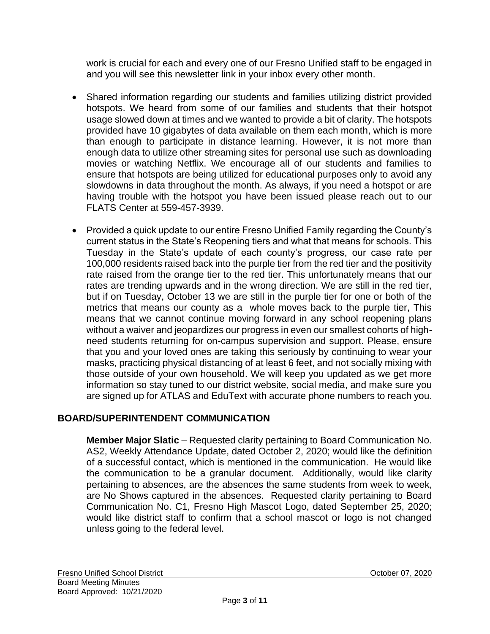work is crucial for each and every one of our Fresno Unified staff to be engaged in and you will see this newsletter link in your inbox every other month.

- Shared information regarding our students and families utilizing district provided hotspots. We heard from some of our families and students that their hotspot usage slowed down at times and we wanted to provide a bit of clarity. The hotspots provided have 10 gigabytes of data available on them each month, which is more than enough to participate in distance learning. However, it is not more than enough data to utilize other streaming sites for personal use such as downloading movies or watching Netflix. We encourage all of our students and families to ensure that hotspots are being utilized for educational purposes only to avoid any slowdowns in data throughout the month. As always, if you need a hotspot or are having trouble with the hotspot you have been issued please reach out to our FLATS Center at 559-457-3939.
- Provided a quick update to our entire Fresno Unified Family regarding the County's current status in the State's Reopening tiers and what that means for schools. This Tuesday in the State's update of each county's progress, our case rate per 100,000 residents raised back into the purple tier from the red tier and the positivity rate raised from the orange tier to the red tier. This unfortunately means that our rates are trending upwards and in the wrong direction. We are still in the red tier, but if on Tuesday, October 13 we are still in the purple tier for one or both of the metrics that means our county as a whole moves back to the purple tier, This means that we cannot continue moving forward in any school reopening plans without a waiver and jeopardizes our progress in even our smallest cohorts of highneed students returning for on-campus supervision and support. Please, ensure that you and your loved ones are taking this seriously by continuing to wear your masks, practicing physical distancing of at least 6 feet, and not socially mixing with those outside of your own household. We will keep you updated as we get more information so stay tuned to our district website, social media, and make sure you are signed up for ATLAS and EduText with accurate phone numbers to reach you.

# **BOARD/SUPERINTENDENT COMMUNICATION**

**Member Major Slatic** – Requested clarity pertaining to Board Communication No. AS2, Weekly Attendance Update, dated October 2, 2020; would like the definition of a successful contact, which is mentioned in the communication. He would like the communication to be a granular document. Additionally, would like clarity pertaining to absences, are the absences the same students from week to week, are No Shows captured in the absences. Requested clarity pertaining to Board Communication No. C1, Fresno High Mascot Logo, dated September 25, 2020; would like district staff to confirm that a school mascot or logo is not changed unless going to the federal level.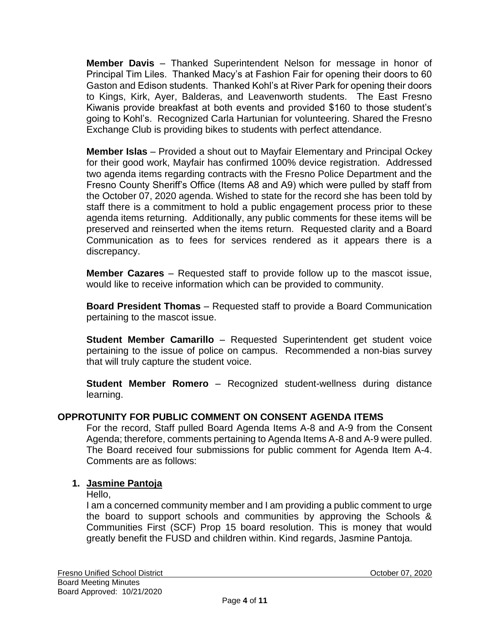**Member Davis** – Thanked Superintendent Nelson for message in honor of Principal Tim Liles. Thanked Macy's at Fashion Fair for opening their doors to 60 Gaston and Edison students. Thanked Kohl's at River Park for opening their doors to Kings, Kirk, Ayer, Balderas, and Leavenworth students. The East Fresno Kiwanis provide breakfast at both events and provided \$160 to those student's going to Kohl's. Recognized Carla Hartunian for volunteering. Shared the Fresno Exchange Club is providing bikes to students with perfect attendance.

**Member Islas** – Provided a shout out to Mayfair Elementary and Principal Ockey for their good work, Mayfair has confirmed 100% device registration. Addressed two agenda items regarding contracts with the Fresno Police Department and the Fresno County Sheriff's Office (Items A8 and A9) which were pulled by staff from the October 07, 2020 agenda. Wished to state for the record she has been told by staff there is a commitment to hold a public engagement process prior to these agenda items returning. Additionally, any public comments for these items will be preserved and reinserted when the items return. Requested clarity and a Board Communication as to fees for services rendered as it appears there is a discrepancy.

**Member Cazares** – Requested staff to provide follow up to the mascot issue, would like to receive information which can be provided to community.

**Board President Thomas** – Requested staff to provide a Board Communication pertaining to the mascot issue.

**Student Member Camarillo** – Requested Superintendent get student voice pertaining to the issue of police on campus. Recommended a non-bias survey that will truly capture the student voice.

**Student Member Romero** – Recognized student-wellness during distance learning.

### **OPPROTUNITY FOR PUBLIC COMMENT ON CONSENT AGENDA ITEMS**

For the record, Staff pulled Board Agenda Items A-8 and A-9 from the Consent Agenda; therefore, comments pertaining to Agenda Items A-8 and A-9 were pulled. The Board received four submissions for public comment for Agenda Item A-4. Comments are as follows:

### **1. Jasmine Pantoja**

#### Hello,

I am a concerned community member and I am providing a public comment to urge the board to support schools and communities by approving the Schools & Communities First (SCF) Prop 15 board resolution. This is money that would greatly benefit the FUSD and children within. Kind regards, Jasmine Pantoja.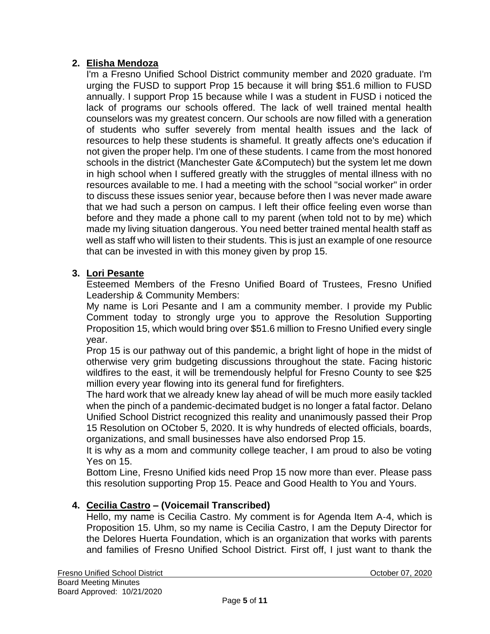# **2. Elisha Mendoza**

I'm a Fresno Unified School District community member and 2020 graduate. I'm urging the FUSD to support Prop 15 because it will bring \$51.6 million to FUSD annually. I support Prop 15 because while I was a student in FUSD i noticed the lack of programs our schools offered. The lack of well trained mental health counselors was my greatest concern. Our schools are now filled with a generation of students who suffer severely from mental health issues and the lack of resources to help these students is shameful. It greatly affects one's education if not given the proper help. I'm one of these students. I came from the most honored schools in the district (Manchester Gate &Computech) but the system let me down in high school when I suffered greatly with the struggles of mental illness with no resources available to me. I had a meeting with the school "social worker" in order to discuss these issues senior year, because before then I was never made aware that we had such a person on campus. I left their office feeling even worse than before and they made a phone call to my parent (when told not to by me) which made my living situation dangerous. You need better trained mental health staff as well as staff who will listen to their students. This is just an example of one resource that can be invested in with this money given by prop 15.

## **3. Lori Pesante**

Esteemed Members of the Fresno Unified Board of Trustees, Fresno Unified Leadership & Community Members:

My name is Lori Pesante and I am a community member. I provide my Public Comment today to strongly urge you to approve the Resolution Supporting Proposition 15, which would bring over \$51.6 million to Fresno Unified every single year.

Prop 15 is our pathway out of this pandemic, a bright light of hope in the midst of otherwise very grim budgeting discussions throughout the state. Facing historic wildfires to the east, it will be tremendously helpful for Fresno County to see \$25 million every year flowing into its general fund for firefighters.

The hard work that we already knew lay ahead of will be much more easily tackled when the pinch of a pandemic-decimated budget is no longer a fatal factor. Delano Unified School District recognized this reality and unanimously passed their Prop 15 Resolution on OCtober 5, 2020. It is why hundreds of elected officials, boards, organizations, and small businesses have also endorsed Prop 15.

It is why as a mom and community college teacher, I am proud to also be voting Yes on 15.

Bottom Line, Fresno Unified kids need Prop 15 now more than ever. Please pass this resolution supporting Prop 15. Peace and Good Health to You and Yours.

# **4. Cecilia Castro – (Voicemail Transcribed)**

Hello, my name is Cecilia Castro. My comment is for Agenda Item A‐4, which is Proposition 15. Uhm, so my name is Cecilia Castro, I am the Deputy Director for the Delores Huerta Foundation, which is an organization that works with parents and families of Fresno Unified School District. First off, I just want to thank the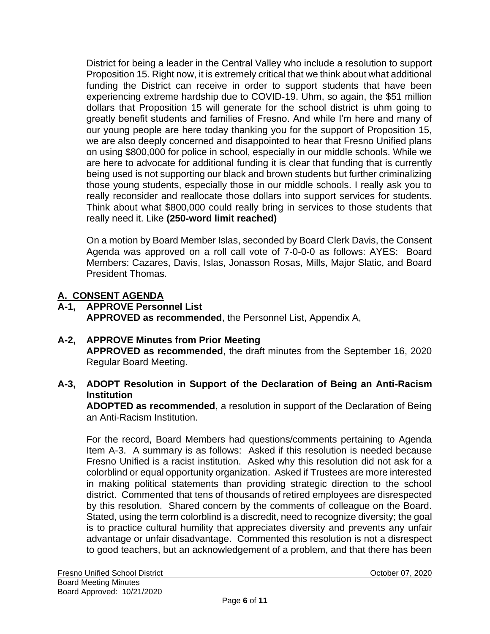District for being a leader in the Central Valley who include a resolution to support Proposition 15. Right now, it is extremely critical that we think about what additional funding the District can receive in order to support students that have been experiencing extreme hardship due to COVID‐19. Uhm, so again, the \$51 million dollars that Proposition 15 will generate for the school district is uhm going to greatly benefit students and families of Fresno. And while I'm here and many of our young people are here today thanking you for the support of Proposition 15, we are also deeply concerned and disappointed to hear that Fresno Unified plans on using \$800,000 for police in school, especially in our middle schools. While we are here to advocate for additional funding it is clear that funding that is currently being used is not supporting our black and brown students but further criminalizing those young students, especially those in our middle schools. I really ask you to really reconsider and reallocate those dollars into support services for students. Think about what \$800,000 could really bring in services to those students that really need it. Like **(250**‐**word limit reached)**

On a motion by Board Member Islas, seconded by Board Clerk Davis, the Consent Agenda was approved on a roll call vote of 7-0-0-0 as follows: AYES: Board Members: Cazares, Davis, Islas, Jonasson Rosas, Mills, Major Slatic, and Board President Thomas.

## **A. CONSENT AGENDA**

- **A-1, APPROVE Personnel List APPROVED as recommended**, the Personnel List, Appendix A,
- **A-2, APPROVE Minutes from Prior Meeting APPROVED as recommended**, the draft minutes from the September 16, 2020 Regular Board Meeting.
- **A-3, ADOPT Resolution in Support of the Declaration of Being an Anti-Racism Institution**

**ADOPTED as recommended**, a resolution in support of the Declaration of Being an Anti-Racism Institution.

For the record, Board Members had questions/comments pertaining to Agenda Item A-3. A summary is as follows: Asked if this resolution is needed because Fresno Unified is a racist institution. Asked why this resolution did not ask for a colorblind or equal opportunity organization. Asked if Trustees are more interested in making political statements than providing strategic direction to the school district. Commented that tens of thousands of retired employees are disrespected by this resolution. Shared concern by the comments of colleague on the Board. Stated, using the term colorblind is a discredit, need to recognize diversity; the goal is to practice cultural humility that appreciates diversity and prevents any unfair advantage or unfair disadvantage. Commented this resolution is not a disrespect to good teachers, but an acknowledgement of a problem, and that there has been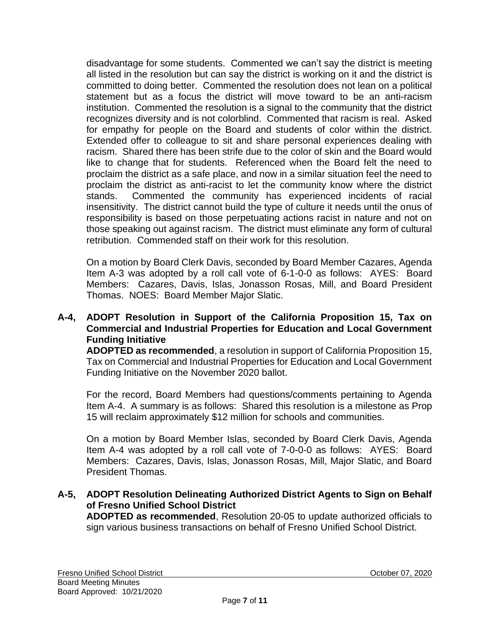disadvantage for some students. Commented we can't say the district is meeting all listed in the resolution but can say the district is working on it and the district is committed to doing better. Commented the resolution does not lean on a political statement but as a focus the district will move toward to be an anti-racism institution. Commented the resolution is a signal to the community that the district recognizes diversity and is not colorblind. Commented that racism is real. Asked for empathy for people on the Board and students of color within the district. Extended offer to colleague to sit and share personal experiences dealing with racism. Shared there has been strife due to the color of skin and the Board would like to change that for students. Referenced when the Board felt the need to proclaim the district as a safe place, and now in a similar situation feel the need to proclaim the district as anti-racist to let the community know where the district stands. Commented the community has experienced incidents of racial insensitivity. The district cannot build the type of culture it needs until the onus of responsibility is based on those perpetuating actions racist in nature and not on those speaking out against racism. The district must eliminate any form of cultural retribution. Commended staff on their work for this resolution.

On a motion by Board Clerk Davis, seconded by Board Member Cazares, Agenda Item A-3 was adopted by a roll call vote of 6-1-0-0 as follows: AYES: Board Members: Cazares, Davis, Islas, Jonasson Rosas, Mill, and Board President Thomas. NOES: Board Member Major Slatic.

### **A-4, ADOPT Resolution in Support of the California Proposition 15, Tax on Commercial and Industrial Properties for Education and Local Government Funding Initiative**

**ADOPTED as recommended**, a resolution in support of California Proposition 15, Tax on Commercial and Industrial Properties for Education and Local Government Funding Initiative on the November 2020 ballot.

For the record, Board Members had questions/comments pertaining to Agenda Item A-4. A summary is as follows: Shared this resolution is a milestone as Prop 15 will reclaim approximately \$12 million for schools and communities.

On a motion by Board Member Islas, seconded by Board Clerk Davis, Agenda Item A-4 was adopted by a roll call vote of 7-0-0-0 as follows: AYES: Board Members: Cazares, Davis, Islas, Jonasson Rosas, Mill, Major Slatic, and Board President Thomas.

**A-5, ADOPT Resolution Delineating Authorized District Agents to Sign on Behalf of Fresno Unified School District**

**ADOPTED as recommended**, Resolution 20-05 to update authorized officials to sign various business transactions on behalf of Fresno Unified School District.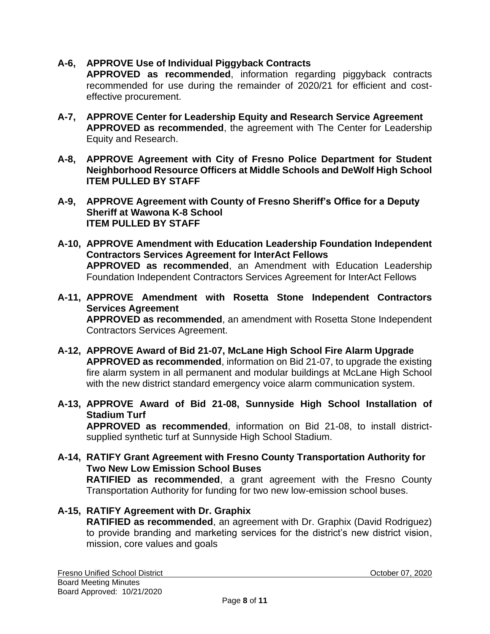# **A-6, APPROVE Use of Individual Piggyback Contracts**

**APPROVED as recommended**, information regarding piggyback contracts recommended for use during the remainder of 2020/21 for efficient and costeffective procurement.

- **A-7, APPROVE Center for Leadership Equity and Research Service Agreement APPROVED as recommended**, the agreement with The Center for Leadership Equity and Research.
- **A-8, APPROVE Agreement with City of Fresno Police Department for Student Neighborhood Resource Officers at Middle Schools and DeWolf High School ITEM PULLED BY STAFF**
- **A-9, APPROVE Agreement with County of Fresno Sheriff's Office for a Deputy Sheriff at Wawona K-8 School ITEM PULLED BY STAFF**
- **A-10, APPROVE Amendment with Education Leadership Foundation Independent Contractors Services Agreement for InterAct Fellows APPROVED as recommended**, an Amendment with Education Leadership Foundation Independent Contractors Services Agreement for InterAct Fellows
- **A-11, APPROVE Amendment with Rosetta Stone Independent Contractors Services Agreement APPROVED as recommended**, an amendment with Rosetta Stone Independent Contractors Services Agreement.
- **A-12, APPROVE Award of Bid 21-07, McLane High School Fire Alarm Upgrade APPROVED as recommended**, information on Bid 21-07, to upgrade the existing fire alarm system in all permanent and modular buildings at McLane High School with the new district standard emergency voice alarm communication system.
- **A-13, APPROVE Award of Bid 21-08, Sunnyside High School Installation of Stadium Turf APPROVED as recommended**, information on Bid 21-08, to install districtsupplied synthetic turf at Sunnyside High School Stadium.
- **A-14, RATIFY Grant Agreement with Fresno County Transportation Authority for Two New Low Emission School Buses RATIFIED as recommended**, a grant agreement with the Fresno County Transportation Authority for funding for two new low-emission school buses.
- **A-15, RATIFY Agreement with Dr. Graphix RATIFIED as recommended**, an agreement with Dr. Graphix (David Rodriguez) to provide branding and marketing services for the district's new district vision, mission, core values and goals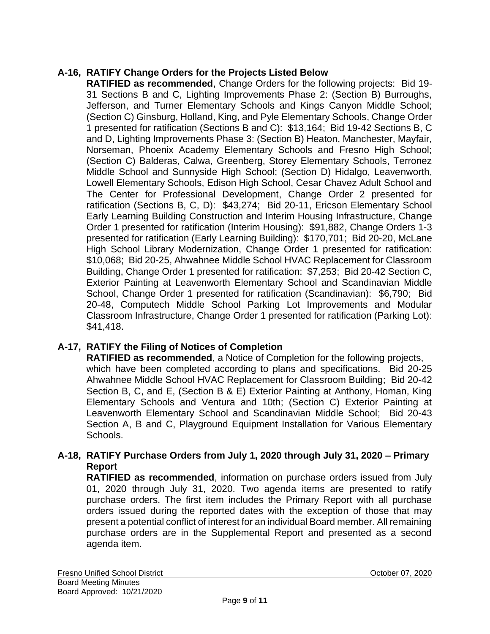# **A-16, RATIFY Change Orders for the Projects Listed Below**

**RATIFIED as recommended**, Change Orders for the following projects: Bid 19- 31 Sections B and C, Lighting Improvements Phase 2: (Section B) Burroughs, Jefferson, and Turner Elementary Schools and Kings Canyon Middle School; (Section C) Ginsburg, Holland, King, and Pyle Elementary Schools, Change Order 1 presented for ratification (Sections B and C): \$13,164; Bid 19-42 Sections B, C and D, Lighting Improvements Phase 3: (Section B) Heaton, Manchester, Mayfair, Norseman, Phoenix Academy Elementary Schools and Fresno High School; (Section C) Balderas, Calwa, Greenberg, Storey Elementary Schools, Terronez Middle School and Sunnyside High School; (Section D) Hidalgo, Leavenworth, Lowell Elementary Schools, Edison High School, Cesar Chavez Adult School and The Center for Professional Development, Change Order 2 presented for ratification (Sections B, C, D): \$43,274; Bid 20-11, Ericson Elementary School Early Learning Building Construction and Interim Housing Infrastructure, Change Order 1 presented for ratification (Interim Housing): \$91,882, Change Orders 1-3 presented for ratification (Early Learning Building): \$170,701; Bid 20-20, McLane High School Library Modernization, Change Order 1 presented for ratification: \$10,068; Bid 20-25, Ahwahnee Middle School HVAC Replacement for Classroom Building, Change Order 1 presented for ratification: \$7,253; Bid 20-42 Section C, Exterior Painting at Leavenworth Elementary School and Scandinavian Middle School, Change Order 1 presented for ratification (Scandinavian): \$6,790; Bid 20-48, Computech Middle School Parking Lot Improvements and Modular Classroom Infrastructure, Change Order 1 presented for ratification (Parking Lot): \$41,418.

# **A-17, RATIFY the Filing of Notices of Completion**

**RATIFIED as recommended**, a Notice of Completion for the following projects, which have been completed according to plans and specifications. Bid 20-25 Ahwahnee Middle School HVAC Replacement for Classroom Building; Bid 20-42 Section B, C, and E, (Section B & E) Exterior Painting at Anthony, Homan, King Elementary Schools and Ventura and 10th; (Section C) Exterior Painting at Leavenworth Elementary School and Scandinavian Middle School; Bid 20-43 Section A, B and C, Playground Equipment Installation for Various Elementary Schools.

### **A-18, RATIFY Purchase Orders from July 1, 2020 through July 31, 2020 – Primary Report**

**RATIFIED as recommended**, information on purchase orders issued from July 01, 2020 through July 31, 2020. Two agenda items are presented to ratify purchase orders. The first item includes the Primary Report with all purchase orders issued during the reported dates with the exception of those that may present a potential conflict of interest for an individual Board member. All remaining purchase orders are in the Supplemental Report and presented as a second agenda item.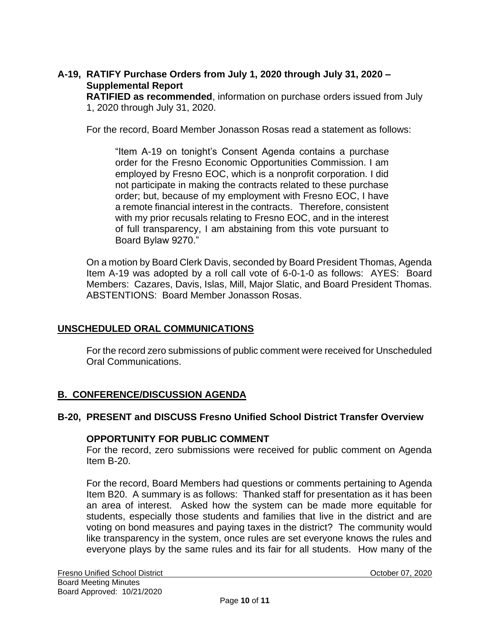### **A-19, RATIFY Purchase Orders from July 1, 2020 through July 31, 2020 – Supplemental Report**

**RATIFIED as recommended**, information on purchase orders issued from July 1, 2020 through July 31, 2020.

For the record, Board Member Jonasson Rosas read a statement as follows:

"Item A-19 on tonight's Consent Agenda contains a purchase order for the Fresno Economic Opportunities Commission. I am employed by Fresno EOC, which is a nonprofit corporation. I did not participate in making the contracts related to these purchase order; but, because of my employment with Fresno EOC, I have a remote financial interest in the contracts. Therefore, consistent with my prior recusals relating to Fresno EOC, and in the interest of full transparency, I am abstaining from this vote pursuant to Board Bylaw 9270."

On a motion by Board Clerk Davis, seconded by Board President Thomas, Agenda Item A-19 was adopted by a roll call vote of 6-0-1-0 as follows: AYES: Board Members: Cazares, Davis, Islas, Mill, Major Slatic, and Board President Thomas. ABSTENTIONS: Board Member Jonasson Rosas.

### **UNSCHEDULED ORAL COMMUNICATIONS**

For the record zero submissions of public comment were received for Unscheduled Oral Communications.

### **B. CONFERENCE/DISCUSSION AGENDA**

### **B-20, PRESENT and DISCUSS Fresno Unified School District Transfer Overview**

#### **OPPORTUNITY FOR PUBLIC COMMENT**

For the record, zero submissions were received for public comment on Agenda Item B-20.

For the record, Board Members had questions or comments pertaining to Agenda Item B20. A summary is as follows: Thanked staff for presentation as it has been an area of interest. Asked how the system can be made more equitable for students, especially those students and families that live in the district and are voting on bond measures and paying taxes in the district? The community would like transparency in the system, once rules are set everyone knows the rules and everyone plays by the same rules and its fair for all students. How many of the